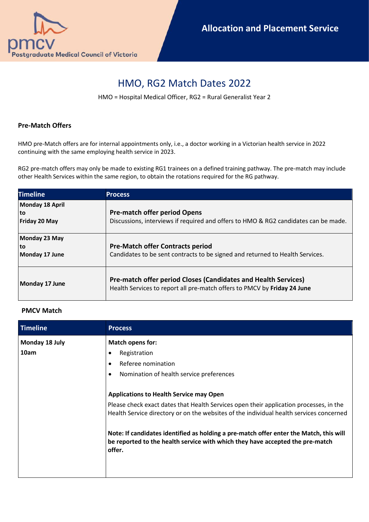

## HMO, RG2 Match Dates 2022

HMO = Hospital Medical Officer, RG2 = Rural Generalist Year 2

## **Pre-Match Offers**

HMO pre-Match offers are for internal appointments only, i.e., a doctor working in a Victorian health service in 2022 continuing with the same employing health service in 2023.

RG2 pre-match offers may only be made to existing RG1 trainees on a defined training pathway. The pre-match may include other Health Services within the same region, to obtain the rotations required for the RG pathway.

| <b>Timeline</b>                        | <b>Process</b>                                                                                                                             |
|----------------------------------------|--------------------------------------------------------------------------------------------------------------------------------------------|
| Monday 18 April<br>to<br>Friday 20 May | <b>Pre-match offer period Opens</b><br>Discussions, interviews if required and offers to HMO & RG2 candidates can be made.                 |
| Monday 23 May<br>to<br>Monday 17 June  | <b>Pre-Match offer Contracts period</b><br>Candidates to be sent contracts to be signed and returned to Health Services.                   |
| Monday 17 June                         | Pre-match offer period Closes (Candidates and Health Services)<br>Health Services to report all pre-match offers to PMCV by Friday 24 June |

## **PMCV Match**

| Timeline       | <b>Process</b>                                                                                                                                                                    |
|----------------|-----------------------------------------------------------------------------------------------------------------------------------------------------------------------------------|
| Monday 18 July | <b>Match opens for:</b>                                                                                                                                                           |
| 10am           | Registration<br>$\bullet$                                                                                                                                                         |
|                | Referee nomination<br>$\bullet$                                                                                                                                                   |
|                | Nomination of health service preferences<br>٠                                                                                                                                     |
|                | <b>Applications to Health Service may Open</b>                                                                                                                                    |
|                | Please check exact dates that Health Services open their application processes, in the<br>Health Service directory or on the websites of the individual health services concerned |
|                | Note: If candidates identified as holding a pre-match offer enter the Match, this will<br>be reported to the health service with which they have accepted the pre-match<br>offer. |
|                |                                                                                                                                                                                   |